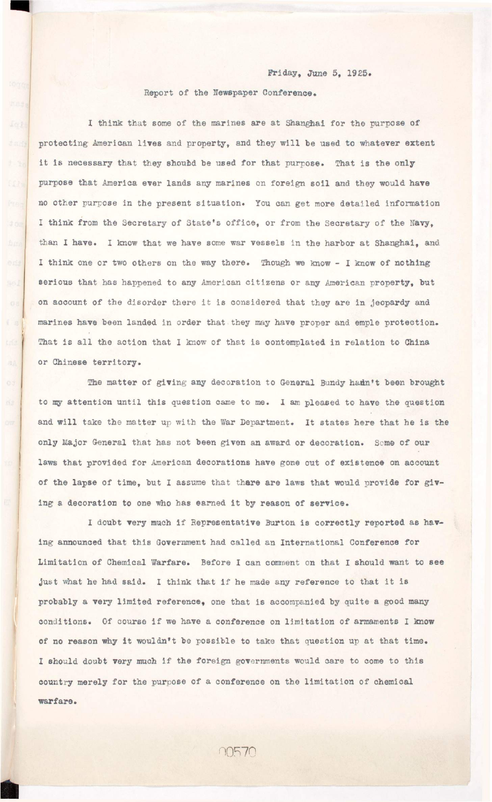## **Friday, June 5, 1925.**

## **Report of the Newspaper Conference.**

**The matter of giving any decoration to General Bundy hadn't been brought**  to my attention until this question came to me. I am pleased to have the question and will take the matter up with the War Department. It states here that he is the **only Major General that has not been given an award or decoration. Some of our laws that provided for American decorations have gone out of existence on account of the lapse of time, but I assume that there are laws that would provide for giv**ing a decoration to one who has earned it by reason of service.

aA

I doubt very much if Representative Burton is correctly reported as having announced that this Government had called an International Conference for **Limitation of Chemical Warfare. Before I can comment on that I should want to see**  just what he had said. I think that if he made any reference to that it is probably a very limited reference, one that is accompanied by quite a good many

**1 think that some of the marines are at Shanghai for the purpose of**  protecting American lives and property, and they will be used to whatever extent it is necessary that they should be used for that purpose. That is the only purpose that America ever lands any marines on foreign soil and they would have no other purpose in the present situation. You can get more detailed information I think from the Secretary of State's office, or from the Secretary of the Navy, than I have. I know that we have some war vessels in the harbor at Shanghai, and **I think one or two others on the way there. Though we know - I know of nothing**  serious that has happened to any American citizens or any American property, but on account of the disorder there it is considered that they are in jeopardy and marines have been landed in order that they may have proper and emple protection. That is all the action that I know of that is contemplated in relation to China **or Chinese territory .** 

conditions. Of course if we have a conference on limitation of armaments I know of no reason why it wouldn't be possible to take that question up at that time. I should doubt very much if the foreign governments would care to come to this country merely for the purpose of a conference on the limitation of chemical **warfare.**